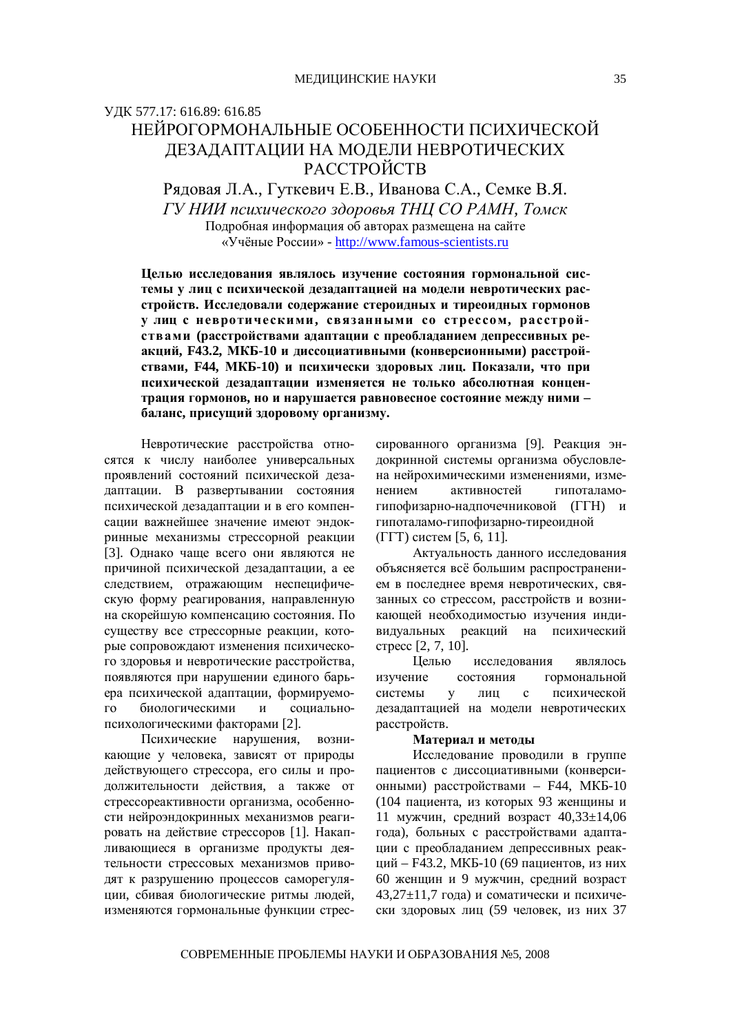## ɍȾɄ 577.17: 616.89: 616.85 НЕЙРОГОРМОНАЛЬНЫЕ ОСОБЕННОСТИ ПСИХИЧЕСКОЙ ДЕЗАДАПТАЦИИ НА МОДЕЛИ НЕВРОТИЧЕСКИХ PACCTPOЙCTB

Рядовая Л.А., Гуткевич Е.В., Иванова С.А., Семке В.Я. *ȽɍɇɂɂɩɫɢɯɢɱɟɫɤɨɝɨɡɞɨɪɨɜɶɹɌɇɐɋɈɊȺɆɇ, Ɍɨɦɫɤ* Подробная информация об авторах размещена на сайте «Учёные России» - <http://www.famous-scientists.ru>

Целью исследования являлось изучение состояния гормональной системы у лиц с психической дезадаптацией на модели невротических расстройств. Исследовали содержание стероидных и тиреоидных гормонов **ɭ ɥɢɰ ɫ ɧɟɜɪɨɬɢɱɟɫɤɢɦɢ, ɫɜɹɡɚɧɧɵɦɢ ɫɨ ɫɬɪɟɫɫɨɦ, ɪɚɫɫɬɪɨɣ**ствами (расстройствами адаптации с преобладанием депрессивных ре- $\boldsymbol{\alpha}$ кций, F43.2, МКБ-10 и диссоциативными (конверсионными) расстройствами, F44, МКБ-10) и психически здоровых лиц. Показали, что при психической дезадаптации изменяется не только абсолютная концентрация гормонов, но и нарушается равновесное состояние между ними баланс, присущий здоровому организму.

Невротические расстройства относятся к числу наиболее универсальных проявлений состояний психической дезадаптации. В развертывании состояния психической дезадаптации и в его компенсации важнейшее значение имеют эндокринные механизмы стрессорной реакции [3]. Однако чаще всего они являются не причиной психической дезадаптации, а ее следствием, отражающим неспецифическую форму реагирования, направленную на скорейшую компенсацию состояния. По существу все стрессорные реакции, которые сопровождают изменения психического здоровья и невротические расстройства, появляются при нарушении единого барьера психической адаптации, формируемого биологическими и социальнопсихологическими факторами [2].

Психические нарушения, возникающие у человека, зависят от природы действующего стрессора, его силы и продолжительности действия, а также от стрессореактивности организма, особенности нейроэндокринных механизмов реагировать на действие стрессоров [1]. Накапливающиеся в организме продукты деятельности стрессовых механизмов приводят к разрушению процессов саморегуляции, сбивая биологические ритмы людей, изменяются гормональные функции стрессированного организма [9]. Реакция эндокринной системы организма обусловлена нейрохимическими изменениями, изменением активностей гипоталамогипофизарно-надпочечниковой (ГГН) и гипоталамо-гипофизарно-тиреоидной  $(TTT)$  систем [5, 6, 11].

Актуальность данного исследования объясняется всё большим распространением в последнее время невротических, связанных со стрессом, расстройств и возникающей необходимостью изучения индивидуальных реакций на психический стресс [2, 7, 10].

Целью исследования являлось изучение состояния гормональной системы у лиц с психической дезадаптацией на модели невротических расстройств.

## Материал и методы

Исследование проводили в группе пациентов с диссоциативными (конверсионными) расстройствами – F44, МКБ-10 (104 пациента, из которых 93 женщины и 11 мужчин, средний возраст  $40,33\pm14,06$ года), больных с расстройствами адаптации с преобладанием депрессивных реакций – F43.2, МКБ-10 (69 пациентов, из них 60 женщин и 9 мужчин, средний возраст 43,27 $\pm$ 11,7 года) и соматически и психически здоровых лиц (59 человек, из них 37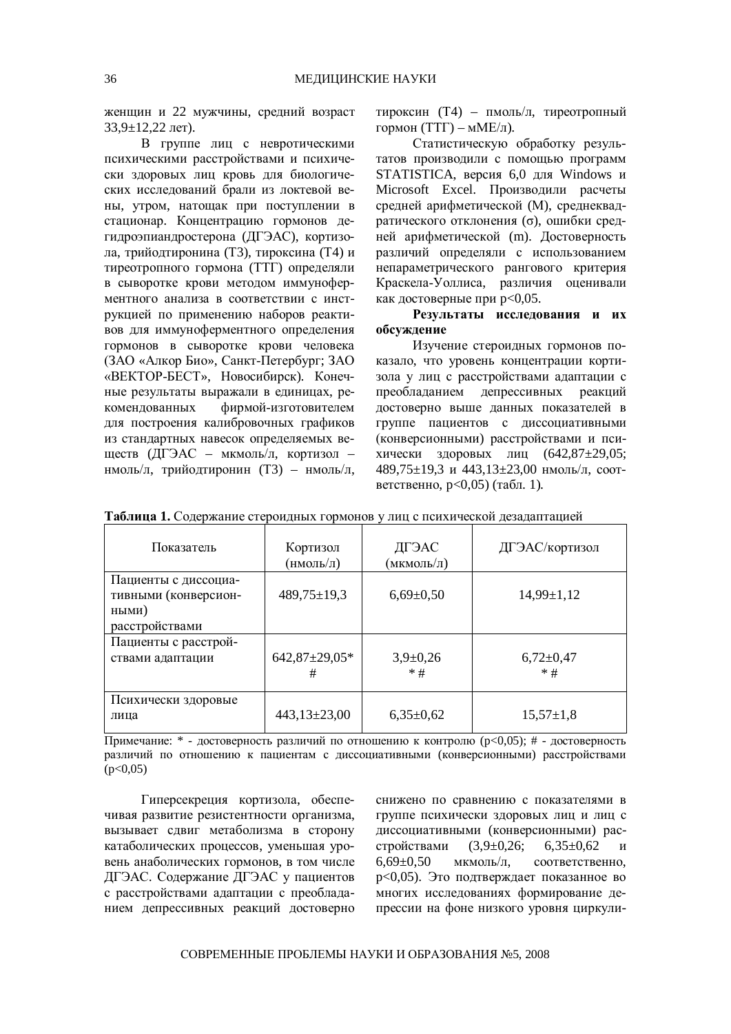женщин и 22 мужчины, средний возраст  $33,9 \pm 12,22$   $\pi$ et).

В группе лиц с невротическими психическими расстройствами и психически здоровых лиц кровь для биологических исследований брали из локтевой вены, утром, натощак при поступлении в стационар. Концентрацию гормонов дегидроэпиандростерона (ДГЭАС), кортизода, трийолтиронина (Т3), тироксина (Т4) и тиреотропного гормона (ТТГ) определяли в сыворотке крови методом иммуноферментного анализа в соответствии с инструкцией по применению наборов реактивов для иммуноферментного определения гормонов в сыворотке крови человека (ЗАО «Алкор Био», Санкт-Петербург; ЗАО «ВЕКТОР-БЕСТ», Новосибирск). Конечные результаты выражали в единицах, рекомендованных фирмой-изготовителем для построения калибровочных графиков из стандартных навесок определяемых веществ (ДГЭАС – мкмоль/л, кортизол – нмоль/л, трийодтиронин (Т3) – нмоль/л, тироксин (Т4) – пмоль/л, тиреотропный гормон (ТТГ) – мМЕ/л).

Статистическую обработку результатов производили с помощью программ STATISTICA, версия 6,0 для Windows и Microsoft Excel. Производили расчеты средней арифметической (М), среднеквадратического отклонения (о), ошибки средней арифметической (m). Достоверность различий определяли с использованием непараметрического рангового критерия Краскела-Уоллиса, различия оценивали как достоверные при р<0,05.

Результаты исследования и их **обсуждение** 

Изучение стероидных гормонов показало, что уровень концентрации кортизола у лиц с расстройствами адаптации с преобладанием депрессивных реакций достоверно выше данных показателей в группе пациентов с диссоциативными (конверсионными) расстройствами и психически здоровых лиц  $(642,87±29,05;$ 489,75±19,3 и 443,13±23,00 нмоль/л, соответственно,  $p<0,05$ ) (табл. 1).

| Показатель                                                              | Кортизол<br>(нмоль/л)    | ДГЭАС<br>(мкмоль/л) | ДГЭАС/кортизол         |
|-------------------------------------------------------------------------|--------------------------|---------------------|------------------------|
| Пациенты с диссоциа-<br>тивными (конверсион-<br>ными)<br>расстройствами | $489,75 \pm 19,3$        | $6,69{\pm}0,50$     | $14,99 \pm 1,12$       |
|                                                                         |                          |                     |                        |
| Пациенты с расстрой-<br>ствами адаптации                                | $642,87 \pm 29,05*$<br># | $3,9+0,26$<br>$*$ # | $6,72\pm0,47$<br>$*$ # |
| Психически здоровые<br>лица                                             | $443,13\pm23,00$         | $6,35\pm0,62$       | $15,57 \pm 1,8$        |

Таблица 1. Содержание стероидных гормонов у лиц с психической дезадаптацией

Примечание: \* - достоверность различий по отношению к контролю (p<0,05); # - достоверность различий по отношению к пациентам с диссоциативными (конверсионными) расстройствами  $(p<0.05)$ 

Гиперсекреция кортизола, обеспечивая развитие резистентности организма, вызывает сдвиг метаболизма в сторону катаболических процессов, уменьшая уровень анаболических гормонов, в том числе ДГЭАС. Содержание ДГЭАС у пациентов с расстройствами адаптации с преобладанием депрессивных реакций достоверно снижено по сравнению с показателями в группе психически здоровых лиц и лиц с диссоциативными (конверсионными) расстройствами (3,9 $\pm$ 0,26; 6,35 $\pm$ 0,62 и  $6.69\pm0.50$  мкмоль/л. соответственно. р<0,05). Это подтверждает показанное во многих исследованиях формирование депрессии на фоне низкого уровня циркули-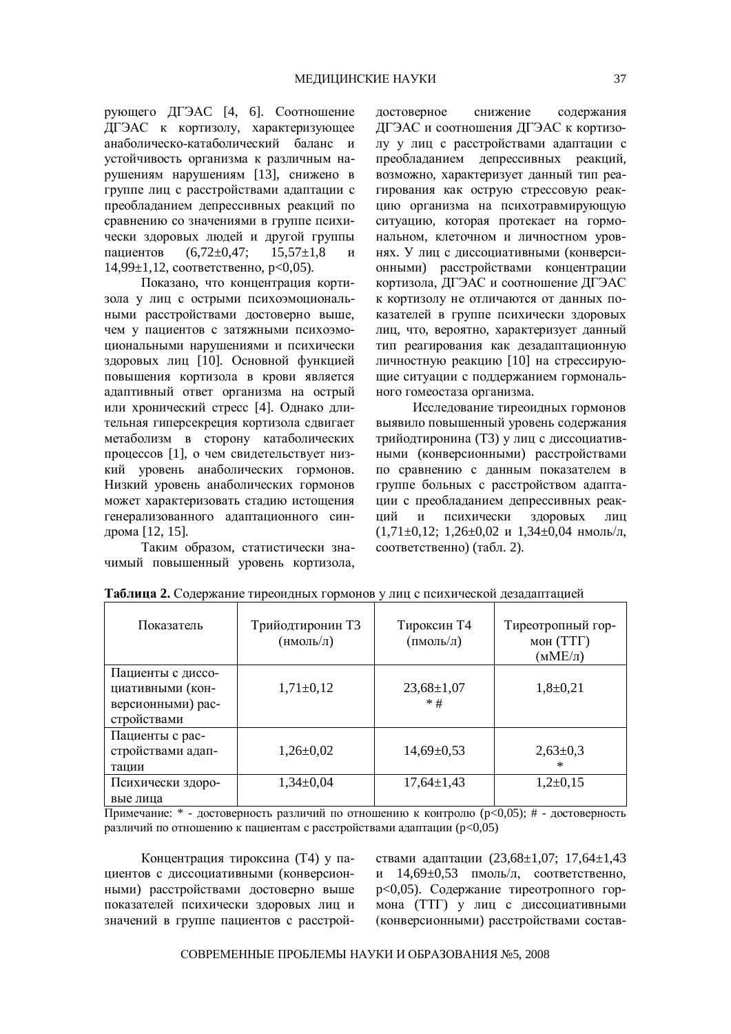рующего ДГЭАС [4, 6]. Соотношение ДГЭАС к кортизолу, характеризующее анаболическо-катаболический баланс и устойчивость организма к различным нарушениям нарушениям [13], снижено в группе лиц с расстройствами адаптации с преобладанием депрессивных реакций по сравнению со значениями в группе психически здоровых людей и другой группы пациентов (6,72 $\pm$ 0,47; 15,57 $\pm$ 1,8 и  $14,99\pm1,12$ , соответственно, р<0,05).

Показано, что концентрация кортизола у лиц с острыми психоэмоциональными расстройствами достоверно выше, чем у пациентов с затяжными психоэмоциональными нарушениями и психически здоровых лиц [10]. Основной функцией повышения кортизола в крови является адаптивный ответ организма на острый или хронический стресс [4]. Однако длительная гиперсекреция кортизола сдвигает метаболизм в сторону катаболических процессов [1], о чем свидетельствует низкий уровень анаболических гормонов. Низкий уровень анаболических гормонов может характеризовать стадию истощения генерализованного адаптационного синдрома [12, 15].

Таким образом, статистически значимый повышенный уровень кортизола, достоверное снижение содержания ДГЭАС и соотношения ДГЭАС к кортизолу у лиц с расстройствами алаптации с преобладанием депрессивных реакций, возможно, характеризует данный тип реагирования как острую стрессовую реакцию организма на психотравмирующую ситуацию, которая протекает на гормональном, клеточном и личностном уровнях. У лиц с диссоциативными (конверсионными) расстройствами концентрации кортизола, ДГЭАС и соотношение ДГЭАС к кортизолу не отличаются от данных показателей в группе психически здоровых лиц, что, вероятно, характеризует данный тип реагирования как дезадаптационную личностную реакцию [10] на стрессирующие ситуации с поддержанием гормонального гомеостаза организма.

Исследование тиреоидных гормонов выявило повышенный уровень содержания трийодтиронина (Т3) у лиц с диссоциативными (конверсионными) расстройствами по сравнению с данным показателем в группе больных с расстройством адаптации с преобладанием депрессивных реакший и психически здоровых лиц  $(1,71\pm0,12; 1,26\pm0.02 \text{ W } 1,34\pm0.04 \text{ HMOJ},1)$ соответственно) (табл. 2).

| Показатель                                                                | Трийодтиронин ТЗ<br>(нмоль/л) | Тироксин Т4<br>(пмоль/л)  | Тиреотропный гор-<br>мон $(TT)$<br>$(MME/\pi)$ |
|---------------------------------------------------------------------------|-------------------------------|---------------------------|------------------------------------------------|
| Пациенты с диссо-<br>циативными (кон-<br>версионными) рас-<br>стройствами | $1,71\pm0,12$                 | $23,68 \pm 1,07$<br>$*$ # | $1,8+0,21$                                     |
| Пациенты с рас-<br>стройствами адап-<br>тации                             | $1,26 \pm 0,02$               | $14,69 \pm 0,53$          | $2,63\pm0,3$<br>ж                              |
| Психически здоро-<br>вые лица                                             | $1,34\pm0,04$                 | $17,64 \pm 1,43$          | $1,2+0,15$                                     |

Таблица 2. Содержание тиреоидных гормонов у лиц с психической дезадаптацией

Примечание: \* - достоверность различий по отношению к контролю (p<0,05); # - достоверность различий по отношению к пациентам с расстройствами адаптации ( $p<0.05$ )

Концентрация тироксина (Т4) у пациентов с диссоциативными (конверсионными) расстройствами достоверно выше показателей психически здоровых лиц и значений в группе пациентов с расстройствами адаптации (23,68±1,07; 17,64±1,43 и 14,69 $\pm$ 0,53 пмоль/л, соответственно, р<0,05). Содержание тиреотропного гормона (ТТГ) у лиц с диссоциативными (конверсионными) расстройствами состав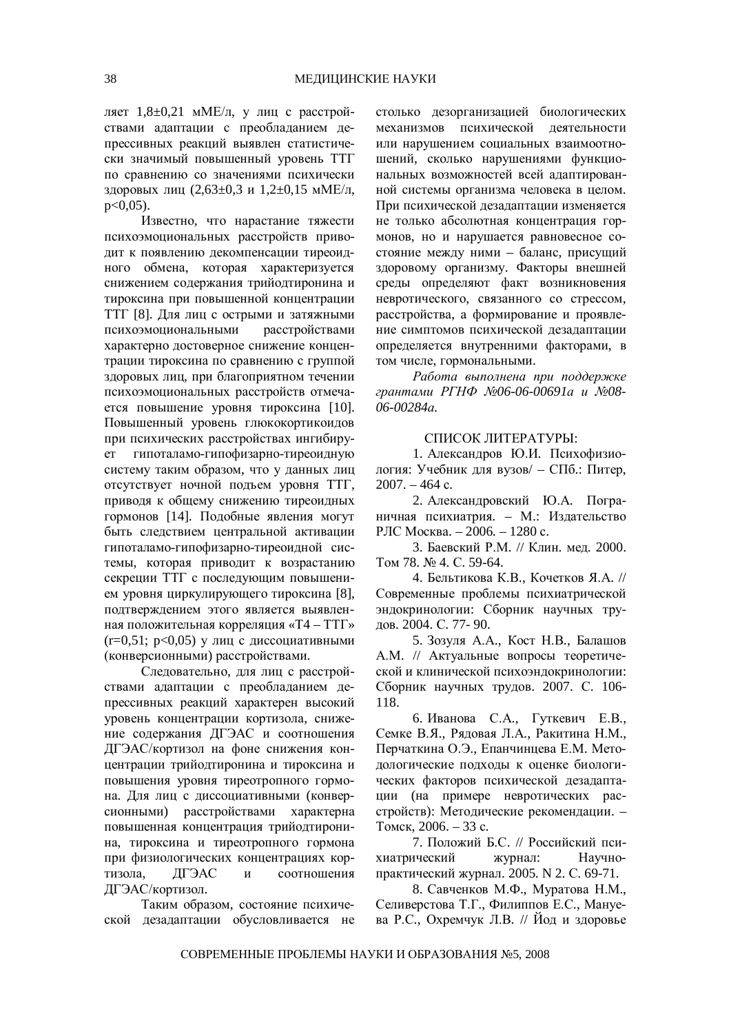ляет 1,8±0,21 мМЕ/л, у лиц с расстройствами адаптации с преобладанием депрессивных реакций выявлен статистически значимый повышенный уровень ТТГ по сравнению со значениями психически здоровых лиц  $(2.63\pm0.3 \text{ m} 1.2\pm0.15 \text{ mME/m})$  $p<0.05$ ).

Известно, что нарастание тяжести психоэмоциональных расстройств приводит к появлению декомпенсации тиреоидного обмена, которая характеризуется снижением содержания трийодтиронина и тироксина при повышенной концентрации ТТГ [8]. Для лиц с острыми и затяжными психоэмоциональными расстройствами характерно достоверное снижение концентрации тироксина по сравнению с группой здоровых лиц, при благоприятном течении психоэмоциональных расстройств отмечается повышение уровня тироксина [10]. Повышенный уровень глюкокортикоидов при психических расстройствах ингибирует гипоталамо-гипофизарно-тиреоидную систему таким образом, что у данных лиц отсутствует ночной подъем уровня ТТГ, приводя к общему снижению тиреоидных гормонов [14]. Подобные явления могут быть следствием центральной активации гипоталамо-гипофизарно-тиреоидной системы, которая приводит к возрастанию секреции ТТГ с последующим повышением уровня циркулирующего тироксина [8], подтверждением этого является выявленная положительная корреляция «Т4 – ТТГ»  $(r=0.51; p<0.05)$  у лиц с диссоциативными (конверсионными) расстройствами.

Следовательно, для лиц с расстройствами адаптации с преобладанием депрессивных реакций характерен высокий уровень концентрации кортизола, снижение содержания ДГЭАС и соотношения ДГЭАС/кортизол на фоне снижения концентрации трийодтиронина и тироксина и повышения уровня тиреотропного гормона. Для лиц с диссоциативными (конверсионными) расстройствами характерна повышенная концентрация трийодтиронина, тироксина и тиреотропного гормона при физиологических концентрациях кортизола, ДГЭАС и соотношения ЛГЭАС/кортизол.

Таким образом, состояние психической дезадаптации обусловливается не столько дезорганизацией биологических механизмов психической деятельности или нарушением социальных взаимоотношений, сколько нарушениями функциональных возможностей всей адаптированной системы организма человека в целом. При психической дезадаптации изменяется не только абсолютная концентрация гормонов, но и нарушается равновесное состояние между ними – баланс, присущий здоровому организму. Факторы внешней среды определяют факт возникновения невротического, связанного со стрессом, расстройства, а формирование и проявление симптомов психической дезадаптации определяется внутренними факторами, в том числе, гормональными.

Работа выполнена при поддержке  $z$ рантами РГНФ №06-06-00691а и №08-*06-00284ɚ.*

## СПИСОК ЛИТЕРАТУРЫ:

1. Александров Ю.И. Психофизиология: Учебник для вузов/ – СПб.: Питер,  $2007. - 464$  c.

2. Александровский Ю.А. Пограничная психиатрия. – М.: Издательство РЛС Москва. – 2006. – 1280 с.

3. Баевский Р.М. // Клин. мед. 2000. TOM 78. No 4. C. 59-64.

4. Бельтикова К.В., Кочетков Я.А. // Современные проблемы психиатрической эндокринологии: Сборник научных трудов. 2004. С. 77- 90.

5. Зозуля А.А., Кост Н.В., Балашов А.М. // Актуальные вопросы теоретической и клинической психоэндокринологии: Сборник научных трудов. 2007. С. 106-118.

6. Иванова С.А., Гуткевич Е.В., Семке В.Я., Ряловая Л.А., Ракитина Н.М., Перчаткина О.Э., Епанчинцева Е.М. Методологические подходы к оценке биологических факторов психической дезадаптации (на примере невротических расстройств): Методические рекомендации. -Томск, 2006. – 33 с.

7. Положий Б.С. // Российский психиатрический журнал: Научнопрактический журнал. 2005. N 2. C. 69-71.

8. Савченков М.Ф., Муратова Н.М., Селиверстова Т.Г., Филиппов Е.С., Мануева Р.С., Охремчук Л.В. // Йод и здоровье